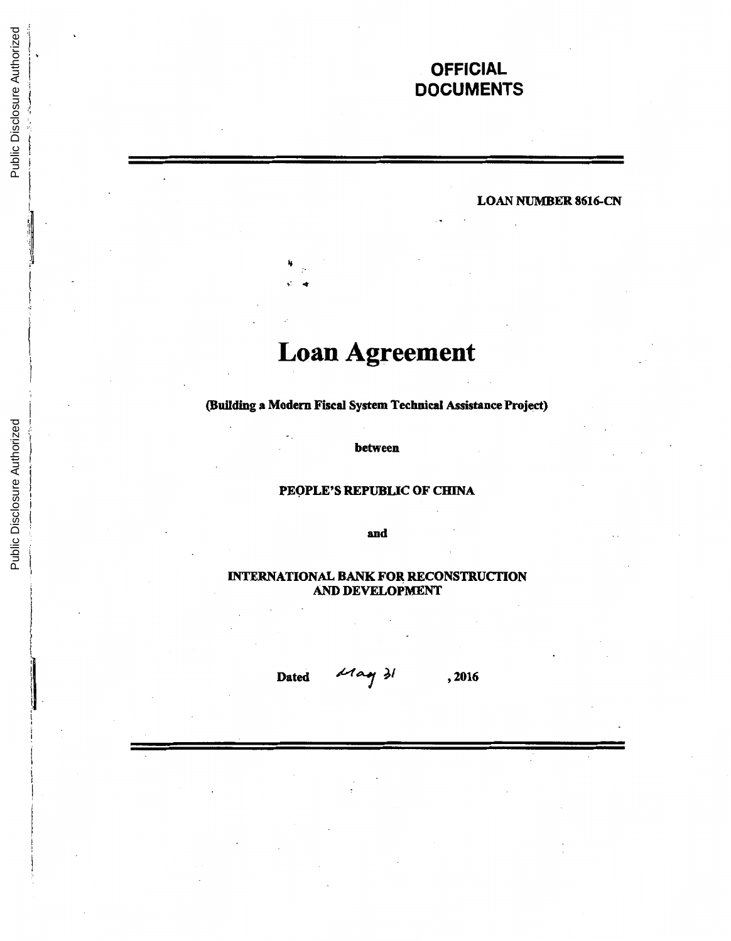## **OFFICIAL DOCUMENTS**

## LOAN NUMBER 8616-CN

# **Loan Agreement**

## (Building a Modern Fiscal System Technical Assistance Project)

between

## PEOPLE'S REPUBLIC OF CHINA

and

## INTERNATIONAL BANK FOR RECONSTRUCTION AND DEVELOPMENT

Dated  $d \sim \sqrt{2}$ , 2016

 $\mathbf{I}$  $\mathbf{I}$  $\vert$ i

 $\frac{1}{2}$ ۱H

i i, :I )

 $\vert$ i t

 $\mathfrak{g}$ I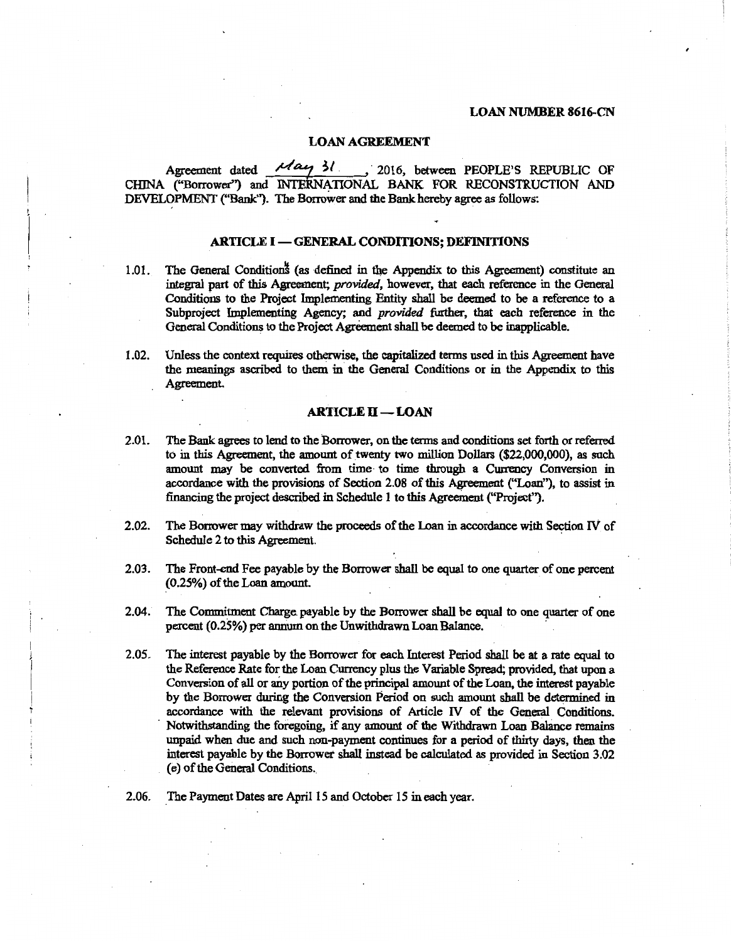## LOAN NUMBER 8616-CN

#### LOAN AGREEMENT

Agreement dated  $\frac{\mathcal{M} \alpha \gamma}{\mathcal{M}}$  31. , 2016, between PEOPLE'S REPUBLIC OF CHINA ("Borrower") and INTERNATIONAL BANK FOR RECONSTRUCTION AND DEVELOPMENT ("Bank"). The Borrower and the Bank hereby agree as follows:

## ARTICLE I - GENERAL CONDITIONS; DEFINITIONS

- 1.01. The General Condition<sup>\*</sup> (as defined in the Appendix to this Agreement) constitute an integral part of this Agreement; *provided,* however, that each reference in the General Conditions to the Project Implementing Entity shall be deemed to be a reference to a Subproject Implementing Agency; and *provided* further, that each reference in the General Conditions to the Project Agreement shall be deemed to be inapplicable.
- I .02. Unless the context requires otherwise, the capitalized terms used in this Agreement have the meanings ascribed to them in the General Conditions or in the Appendix to this Agreement.

## $ARTICLE II - LOAN$

- 2.0 1. The Bank agrees to lend to the Borrower, on the terms and conditions set forth or referred to in this Agreement, the amount of twenty two million Dollars (\$22,000,000), as such amount may be converted from time· to time through a Currency Conversion in accordance with the provisions of Section 2.08 of this Agreement ("Loan"), to assist in financing the project described in Schedule 1 to this Agreement ("Project").
- 2.02. The Borrower may withdraw the proceeds of the Loan in accordance with Section IV of Schedule 2 to this Agreement.
- 2.03. The Front-end Fee payable by the Borrower shall be equal to one quarter of one percent (0.25%) of the Loan amount.
- 2.04. The Commitment Charge. payable by the Borrower shall be equal to one quarter of one percent (0.2S%) per annum on the Unwithdrawn Loan Balance.
- *2.05.* The interest payable by the Borrower for each Interest Period shall be at a rate equal to the Reference Rate for the Loan Currency plus the Variable Spread; provided, that upon a Conversion of all or any portion of the principal amount of the Loan, the interest payable by the Borrower during the Conversion Period on such amount shall be determined in accordance with the relevant provisions of Article IV of the General Conditions. Notwithstanding the foregoing, if any amount of the Withdrawn Loan Balance remains unpaid when due and such non-payment continues for a period of thirty days, then the interest payable by the Borrowet shall instead be calculated as provided in Section 3.02 (e) of the General Conditions.
- 2.06. \_The Payment Dates are April *IS* and October *IS* in each year.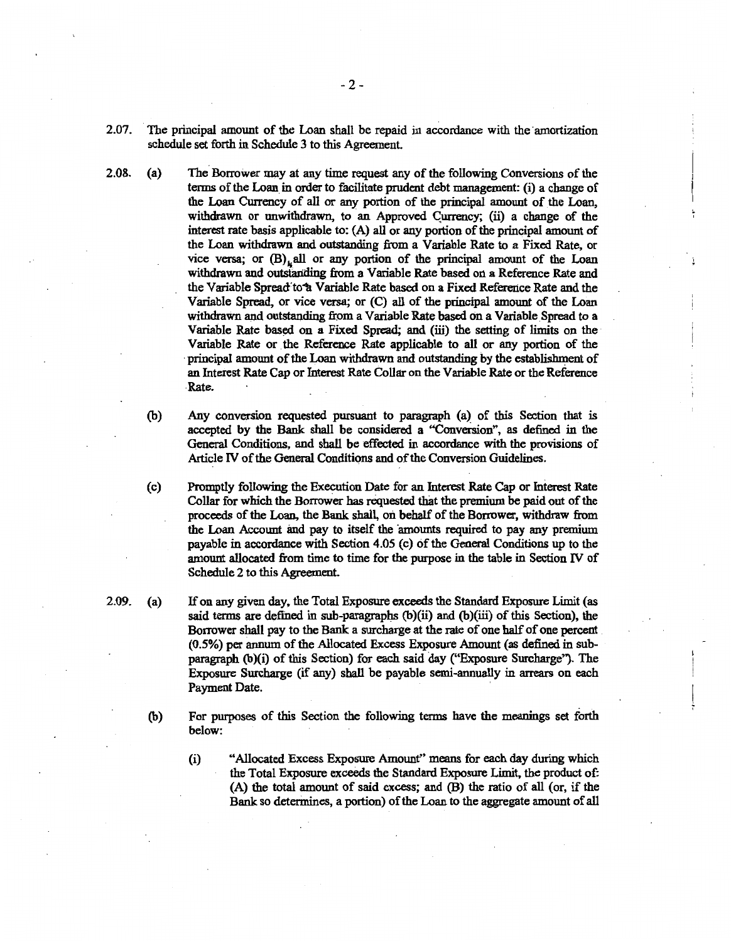- 2.07. The principal amount of the Loan shall be repaid in accordance with the amortization schedule set forth in Schedule 3 to this Agreement.
- 2.08. (a) The Borrower may at any time request any of the following Conversions of the terms of the Loan. in order to facilitate prudent debt management: (i) a change of the Loan Currency of all or any portion of the principal amount of the Loan, withdrawn or unwithdrawn, to an Approved Gurrency; (ii) a change of the interest rate basis applicable to: (A) all or any portion of the principal amount of the Loan withdrawn and outstanding from a Variable Rate to a Fixed Rate, or vice versa; or  $(B)$  all or any portion of the principal amount of the Loan withdrawn and outstanding from a Variable Rate based on a Reference Rate and the Variable Spread to<sup>4</sup> Variable Rate based on a Fixed Reference Rate and the Variable Spread, or vice versa; or (C) all of the principal amount of the Loan withdrawn and outstanding from a Variable Rate based on a Variable Spread to a Variable Rate based on a Fixed Spread; and (iii) the setting of limits on the Variable Rate or the Reference Rate applicable to all or any portion of the ·principal amount of the Loan withdrawn and outstanding by the establishment of an Interest Rate Cap or Interest Rate Collar on the Variable Rate or the Reference -Rate.
	- (b) Any conversion requested pursuant to paragraph {a) of this Section that is accepted by the Bank shall be considered a "Conversion", as defined in the General Conditions, and sball be effected in accordance with the provisions of Article N of the General Conditions and of the Conversion Guidelines.
	- (c) Promptly following the Execution Date for an Interest Rate Cap or Interest Rate Collar for which the Borrower has requested that the premium be paid out of the proceeds of the Loan, the Bank shall, on behalf of the Borrower, withdraw from the Loan Account and pay to itself the amounts required to pay any premium payable in accordance with Section 4.05 (c) of the General Conditions up to the amount allocated from time to time for the purpose in the table in Section N of Schedule 2 to this Agreement.
	- If on any given day, the Total Exposure exceeds the Standard Exposure Limit {as said terms are defined in sub-paragraphs (b)(ii) and (b){iii) of this Section), the Borrower shall pay to the Bank a surcharge at the rate of one half of one percent (0.5%) per annum of the Allocated Excess Exposure Amount {as defined in subparagraph (b)(i) of this Section) for each said day ("Exposure Surcharge"). The Exposure Surcharge (if any) sball be payable semi-annually in arrears on each Payment Date.
		- (b) For purposes of this Section the following terms have the meanings set forth below:
			- (i) "Allocated Excess Exposure Amount" means for each day during which the Total Exposure exceeds the Standard Exposure Limit, the product of: (A) the total amount of said excess; and (B) the ratio of all {or, if the Bank so determines, a portion) of the Loan to the aggregate amount of all
- 
- 2.09. (a)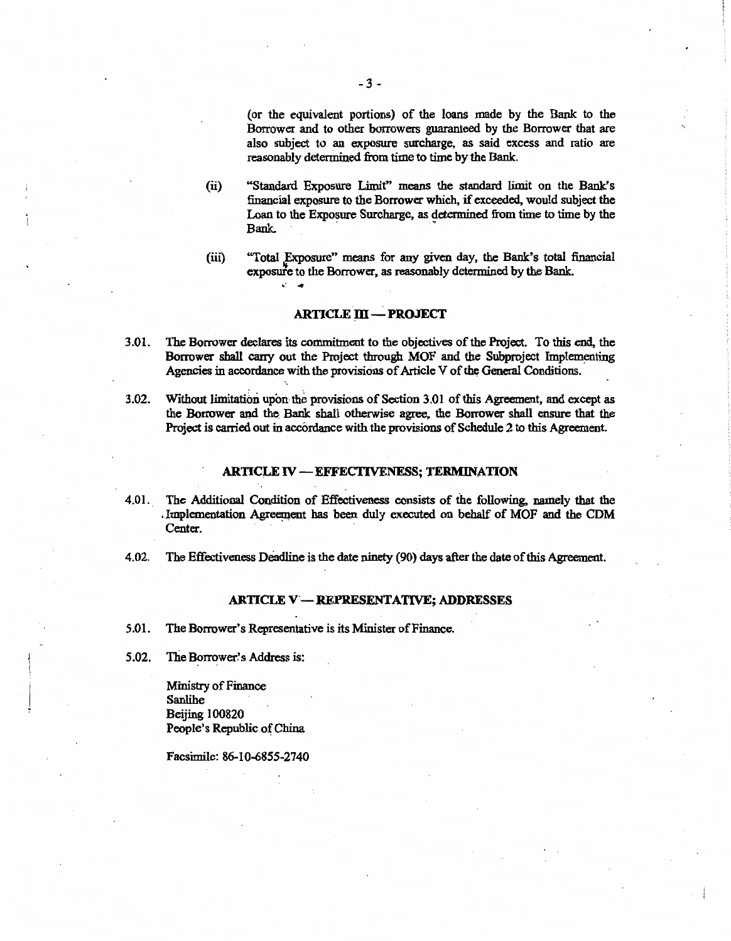(or the equivalent portions) of the loans made by the Bank to the Borrower and to other borrowers guaranteed by the Borrower that are also subject to an exposure surcharge, as said excess and ratio are reasonably determined from time to time by the Bank.

- (ii) "Standard Exposure Limit" means the standard limit on the Bank's financial exposure to the Borrower which, if exceeded, would subject the Loan to the Exposure Surcharge, as determined from time to time by the Bank.
- (iii) "Total Exposure" means for any given day, the Bank's total financial exposuife to the Borrower, as reasonably determined by the Bank.

## ARTICLE **:DI-PROJECT**

- 3.01. The Borrower declares its commitment to the objectives of the Project. To this end, the Borrower shall carry out the Project through MOF and the Subproject Implementing Agencies in accordance with the provisions of Article V of the General Conditions.
- 3.02. Without limitation upon the provisions of Section 3.01 ofthis Agreement, and except as the Borrower and the: Bank shall otherwise agree, the Borrower shall ensure that the Project is carried out in accordance with the provisions of Schedule 2 to this Agreement.

## **ARTICLE IV-EFFECTIVENESS; TERMINATION**

- 4.01. The Additional Condition of Effectiveness consists of the following, namely that the . Implementation Agreement has been duly executed on behalf of MOF and the CDM Center.
- 4.02. The Effectiveness Deadline is the date ninety (90) days after the date of this Agreement.

#### ARTICLE V'- REPRESENTATIVE; ADDRESSES

5.01. The Borrower's Representative is its Minister of Finance.

. .

5.02. The Borrower's Address is:

Ministry of Finance **Sanlihe** Beijing 100820 People's Republic of China

Facsimile: 86-10-6855-2740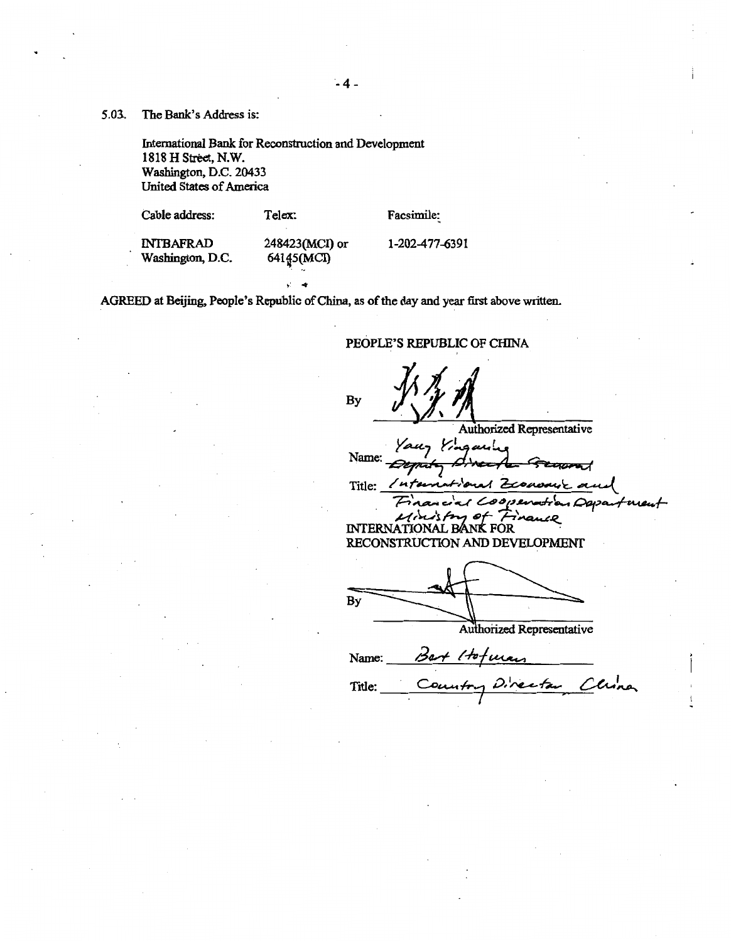5.03.. The Bank's Address is:

International Bank for Reconstruction and Development 1818 H Street, N.W. Washington, D.C. 20433 United States of America

Cable address:

Telex:

Facsimile:

INTBAFRAD Washington, D.C. 248423(MCI) or 64145(MCI)

1-202-477-6391

PEOPLE'S REPUBLIC OF CHINA

AGREED at Beijing, People's Republic of China, as of the day and year first above written.

**By Authorized Representative** Your Yingarine Name: <del>Deput</del> ਯ al Zeonomic Title: *Inte* Beratra Dapa  $\sim$ بصددو INTERNATIONAL BANK FOR RECONSTRUCTION AND DEVELOPMENT By **Authorized Representative** Name:  $\beta$ art  $/$ tofurar Title: Country Director Clina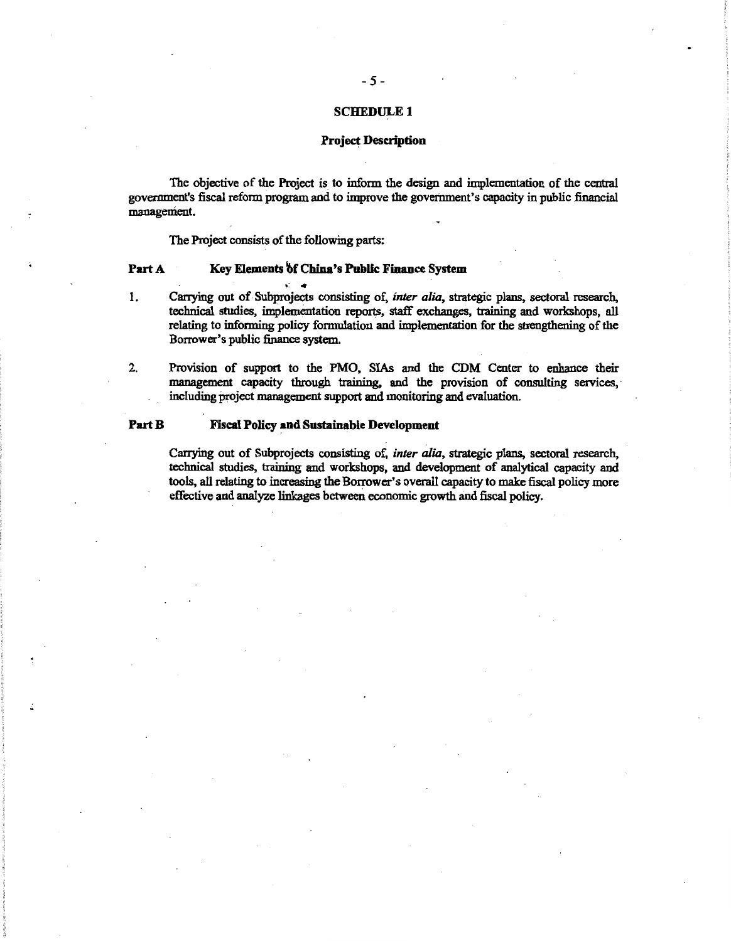## SCHEDULE<sub>1</sub>

## Project Description

The objective of the Project is to inform the design and implementation of the central government's fiscal reform program and to improve the government's capacity in public financial management.

The Project consists of the following parts:

## Part A Key Elements of China's Public Finance System

1. Carrying out of Subprojects consisting of, *inter alia,* strategic plans, sectoral research, technical studies, implementation reports, staff exchanges, training and workshops, all relating to informing policy formulation and implementation for the strengthening of the Borrower's public finance system.

2. Provision of support to the PMO, SIAs and the CDM Center to enhance their management capacity through training, and the provision of consulting services,· including project management support and monitoring and evaluation.

## Part B Fiscal Policy and Sustainable Development

Carrying out of Subprojects consisting of, *inter alia,* strategic plans, sectoral research, technical studies, training and workshops, and development of analytical capacity and tools, all relating to increasing the Borrower's overall capacity to make fiscal policy more effective and analyze linkages between economic growth and fiscal policy.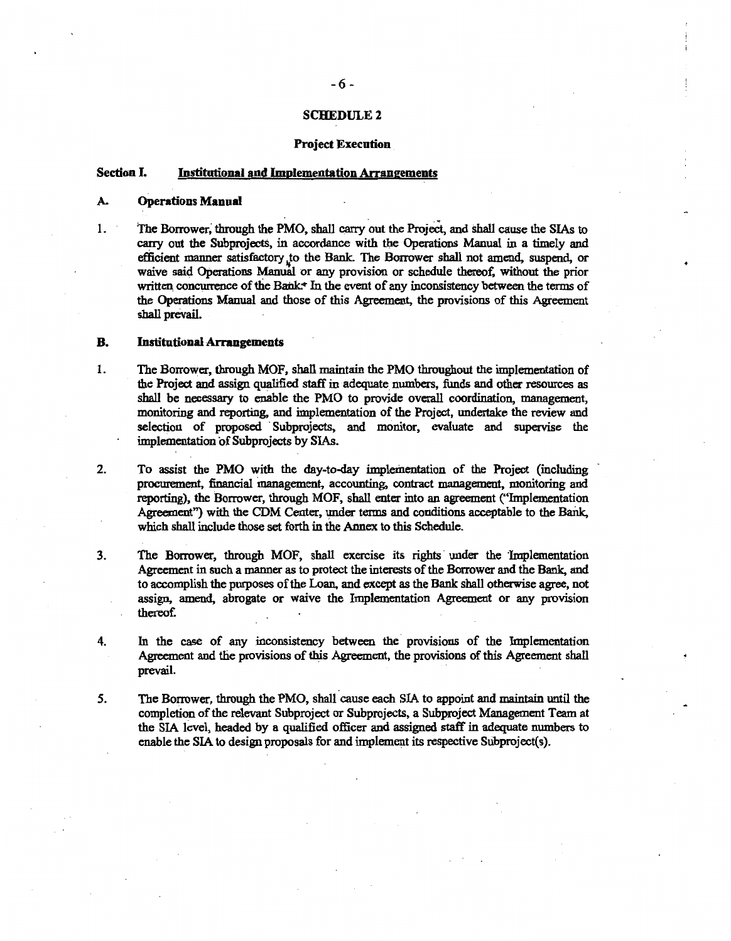#### **SCHEDULE 2**

#### Project Execution

## Section I. Institutional and Implementation Arrangements

#### A. Operations Manual

1. The Borrower; through the PMO, shall carry out the Project, and shall cause the SIAs to carry out the Subprojects, in accordance with the Operations Manual in a timely and efficient manner satisfactory to the Bank. The Borrower shall not amend, suspend, or waive said Operations Manual or any provision or schedule thereof, without the prior written concurrence of the Bank. $\star$  In the event of any inconsistency between the terms of the Operations Manual and those of this Agreement, the provisions of this Agreement shall preVail.

#### B. Institutional Arrangements

- 1. The Borrower, through MOF, shall maintain the PMO throughout the implementation of the Project and assign qualified staff in adequate. numbers, funds and other resources as shall be necessary to enable the PMO to provide overall coordination, management, monitoring and reporting, and implementation of the Project, undertake the review and selection of proposed Subprojects, and monitor, evaluate and supervise the implementation of Subprojects by SIAs.
- 2. To assist the PMO with the day-to-day implementation of the Project (including procurement, financial inanagement, accounting, contract management, monitoring and reporting), the Borrower, through MOF, shall enter into an agreement ("Implementation Agreement") with the CDM Center, under terms and conditions acceptable to the Bank. which shall include those set forth in the Annex to this Schedule.
- 3. The Borrower, through MOF, shall exercise its rights under the 'Implementation Agreement in such a manner as to protect the interests of the Borrower and the Bank, and to accomplish the purposes of the Loan, and except as the Bank shall otherwise agree, not assign. amend, abrogate or waive the Implementation Agreement or any provision thereof.
- 4. In the case of any inconsistency between the provisions of the Implementation Agreement and the provisions of this Agreement, the provisions of this Agreement shall prevail.
- *5.* The Borrower, through the PMO, shall cause each SIA to appoint and maintain until the completion of the relevant Subproject or Subprojects, a Subproject Management Team at the SIA level, headed by a qualified officer and assigned staff in adequate numbers to enable the SIA to design proposals for and implement its respective Subproject(s).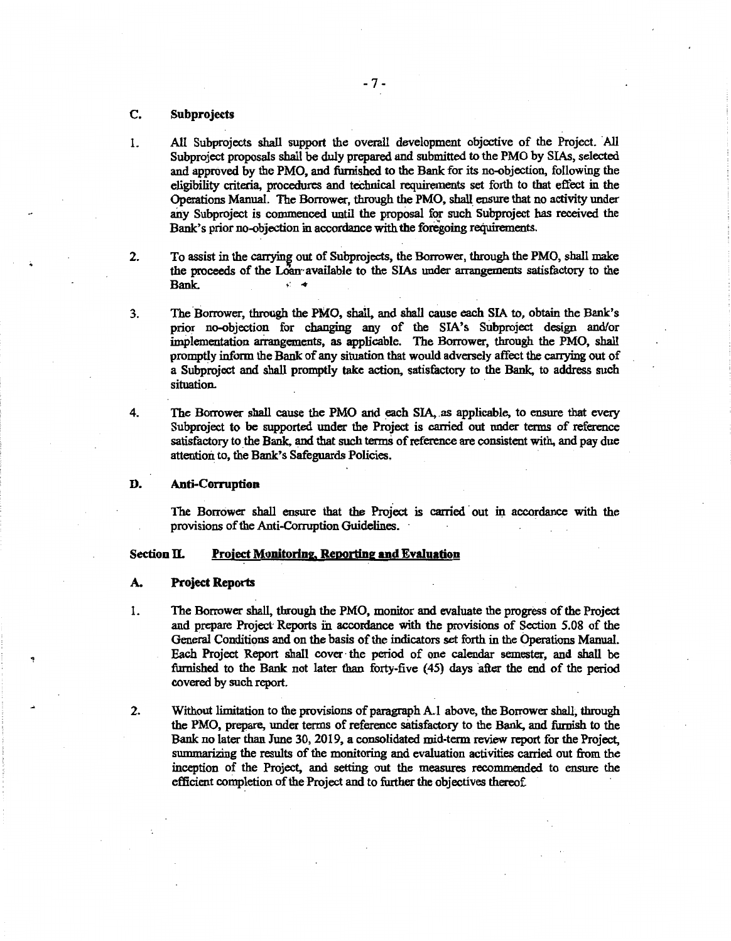## C. Subprojeds

- 1. All Subprojects shall support the overall development objective of the Project. All Subproject proposals shall be duly prepared and submitted to the PMO by SIAs, selected and approved by the PMO, and furnished to the Bank for its no-objection, following the eligibility criteria, procedures and teehnical requirements set forth to that effect in the Operations Manual. The Borrower, through the PMO, shall ensure that no activity under any Subproject is commenced until the proposal for such Subproject has received the Bank's prior no-objection in accordance with the foregoing requirements.
- 2. To assist in the carrying out of Subprojects, the Borrower, through the PMO, shall make the proceeds of the Loan available to the SIAs under arrangements satisfactory to the Bank.  $\qquad \qquad$   $\qquad \qquad$   $\qquad \qquad$
- 3. The Borrower, through the PMO, shall, and shall cause each SIA to, obtain the Bank's prior no-objection for changing any of the SIA's Subproject design and/or implementation ammgements, as applicable. The Borrower, through the PMO, shall promptly inform the Bank of any situation that would adversely affect the carrying out of a Subproject and shall promptly take action, satisfactory to the Bank, to address such situation.
- 4. The Borrower shall cause the PMO and each SIA, as applicable, to ensure that every Subproject to be supported under the Project is carried out under terms of reference satisfactory to the Bank, and that such terms of reference are consistent with, and pay due attention to, the Bank's Safeguards Policies.

## D. Anti-Corruption

The Borrower shall ensure that the Project is carried out in accordance with the provisions of the Anti-Corruption Guidelines. ·

## Section II. Project Monitoring, Reporting and Evaluation

#### A. Project Reports

- 1. The Borrower shall, through the PMO, monitor and evaluate the progress of the Project and prepare Project· Reports fu accordance with the provisions of Section 5.08 of the General Conditions and on the basis of the indicators set forth in the Operations Manual. Each Project Report shall cover· the period of one calendar semester, and shall be furnished to the Bank not later than forty-five (45) days after the end of the period covered by such report.
- 2. Without limitation to the provisions of paragraph A.l above, the Borrower shall, through the PMO, prepare, under terms of reference satisfactory to the Bank, and finnish to the Bank no later than June 30, 2019, a consolidated mid-term review report for the Project, summarizing the results of the monitoring and evaluation activities carried out from the inception of the Project, and setting out the measures recommended to ensure the efficient completion of the Project and to further the objectives thereof.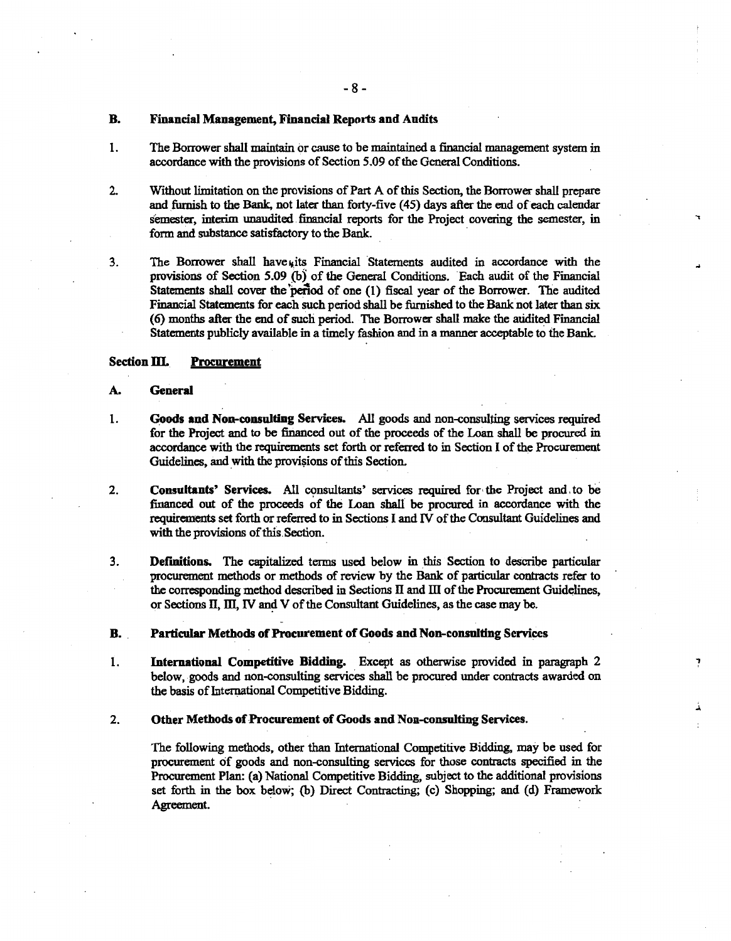## B. Financial Management, Financial Reports and Audits

- 1. The Borrower shall maintain or cause to be maintained a financial management system in accordance with the provisions of Section 5.09 of the General Conditions.
- 2. Without limitation on the provisions of Part A of this Section, the Borrower shall prepare and furnish to the Bank, not later than forty-five (45) days after the end ofeach calendar semester, interim unaudited fmancial reports for the Project covering the semester, in form and substance satisfactory to the Bank.

.,

ņ

3. The Borrower shall have  $\mu$ its Financial Statements audited in accordance with the provisions of Section 5.09 (b) of the General Conditions. Each audit of the Financial Statements shall cover the 'period of one (1) fiscal year of the Borrower. The audited Financial Statements for each such period shall be furnished to the Bank not later than six (6) months after the end of such period. The Borrower shall make the atidited Financial Statements publicly available in a timely fashion and in a manner acceptable to the Bank.

## Section III. Procurement

- A. General
- 1. Goods and Non-consulting Services. All goods and non-consulting services required for the Project and to be financed out of the proceeds of the Loan shall be procured in accordance with the requirements set forth or referred to in Section I of the Procurement Guidelines, and with the provisions of this Section.
- 2. Consultants' Services. All consultants' services required for the Project and to be financed out of the proceeds of the Loan shall be procured in accordance with the requirements set forth or referred to in Sections I and IV of the Consultant Guidelines and with the provisions of this. Section.
- 3. Definitions. The capitalized terms used below in this Section to describe particular procurement methods or methods of review by the Bank of particular contracts refer to the corresponding method described in Sections  $\Pi$  and  $\Pi$  of the Procurement Guidelines, or Sections II, III, IV and V of the Consultant Guidelines, as the case may be.

B. . Particular Methods of Procurement of Goods and Non-consulting Services

1. International Competitive Bidding. Except as otherwise provided in paragraph 2 below, goods and non-consulting services shall be procured under contracts awarded on the basis of International Competitive Bidding.

2. Other Methods of Procurement of Goods and Non-consulting Services.

The following methods, other than International Competitive Bidding, may be used for procurement of goods and non-consulting services for those contracts specified in the Procmement Plan: (a) National Competitive Bidding, subject to the additional provisions set forth in the box below; (b) Direct Contracting; (c) Shopping; and (d) Framework Agreement.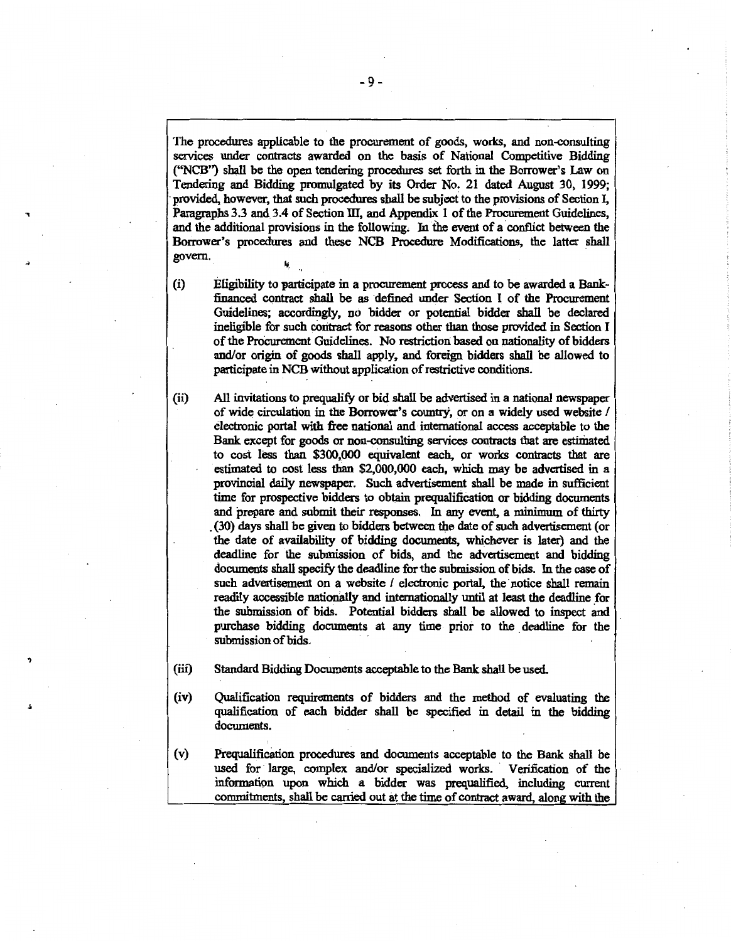The procedures applicable to the procurement of goods, works, and non-consulting services under contracts awarded on the basis of National Competitive Bidding ("NCB") shall be the open tendering procedures set forth in the Borrower's Law on Tendering and Bidding promulgated by its Order No. 21 dated August 30, 1999; · provided, however, that such procedures shall be subject to the provisions of Section I, Paragraphs 3.3 and 3.4 of Section III, and Appendix 1 of the Procurement Guidelines, and the additional provisions in the following. In the event of a conflict between the Borrower's procedures and these NCB Procedure Modifications, the latter shall govern.

')

(i) Eligibility to participate in a procurement process and to be awarded a Bankfinanced contract shall be as defined under Section I of the Procurement Guidelines; accordingly, no bidder or potential bidder shall be declared ineligible for such ooritract for reasons other than those provided in Section I of the Procurement Guidelines. No restriction based on nationality of bidders and/or origin of goods shall apply, and foreign bidders shall be allowed to participate in NCB without application of restrictive conditions.

(ii) All invitations to prequalify or bid shall be advertised in a national newspaper of wide circulation in the Borrower's country, or on a widely used website / electronic portal with free national and international access acceptable to the Bank except for goods or non-consulting services contracts that are estimated to cost less than \$300,000 equivalent each, or works contracts that are estimated to cost less than \$2,000,000 each, which may be advertised in a provincial daily newspaper. Such advertisement shall be made in sufficient time for prospective bidders to obtain prequalification or bidding documents and prepare and submit their responses. In any event, a minimum of thirty . (30) days shall be given to bidders between the date of such advertisement (or the date of availability of bidding documents, whichever is later) and the deadline for the submission of bids, and the advertisement and bidding documents shall specify the deadline for the submission of bids. In the case of such advertisement on a website / electronic portal, the notice shall remain readily accessible nationally and internationally until at least the deadline for the submission of bids. Potential bidders shall be allowed to inspect and purchase bidding documents at any time prior to the deadline for the submission of bids.

- (iii) Standard Bidding Documents acceptable to the Bank shall be used.
- (iv) Qualification requirements of bidders and the method of evaluating the qualification of each bidder shall be specified in detail in the bidding documents.
- (v) Prequalification procedures and documents acceptable to the Bank shall be used for large, complex and/or specialized works. Verification of the information upon which a bidder was prequalified, including current commitments, shall be carried out at the time of contract award, along with the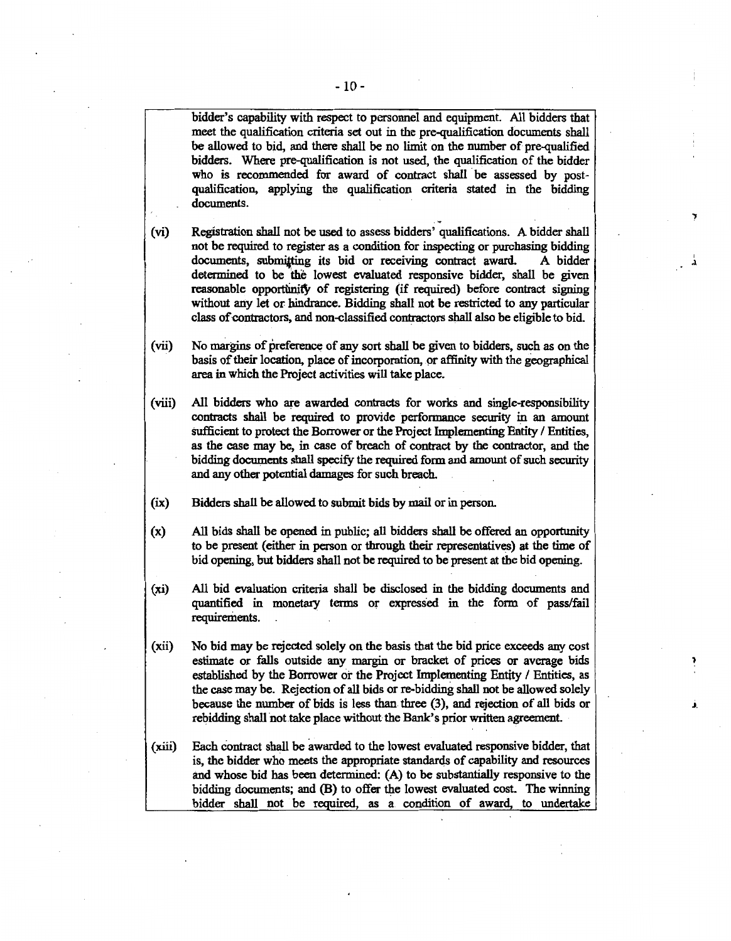bidder's capability with respect to personnel and equipment. All bidders that meet the qualification criteria set out in the pre-qualification documents shall be allowed to bid, and there shall be no limit on the number of pre-qualified bidders. Where pre-qualification is not used, the qualification of the bidder who is recommended for award of contract shall be assessed by postqualification, applying the qualification criteria stated in the bidding documents.

- (vi) Registration shall not be used to assess bidders' qualifications. A bidder shall not be required to register as a condition for inspecting or purchasing bidding documents, submitting its bid or receiving contract award. A bidder determined to be the lowest evaluated responsive bidder, shall be given reasonable opportunity of registering (if required) before contract signing without any let or hindrance. Bidding shall not be restricted to any particular class of contractors, and non-classified contractors shall also be eligible to bid.
- (vii) No margins of preference of any sort shall be given to bidders, such as on the basis of their location, place of incorporation, or affinity with the geographical area in which the Project activities will take place.
- (viii) All bidders who are awarded contracts for works and single-responsibility contracts shall be required to provide performance secmity in an amount sufficient to protect the Borrower or the Project Implementing Entity / Entities, as the case may be, in case of breach of contract by the contractor, and the bidding documents shall specify the required form and amount of such security and any other potential damages for such breach.
- (ix) Bidders shall be allowed to submit bids by mail or in person.
- (x) All bids shall be opened in public; all bidders shall be offered an opportunity to be present (either in person or through their representatives) at the time of bid opening, but bidders shall not be required to be present at the bid opening.
- (xi) All bid evaluation criteria shall be disclosed in the bidding documents and quantified in monetary terms or expressed in the form of pass/fail requirements.
- (xii) No bid may be rejected solely on the basis that the bid price exceeds any cost estimate or falls outside any margin or bracket of prices or average bids established by the Borrower or the Project Implementing Entity / Entities, as the case may be. Rejection of all bids or re-bidding shall not be allowed solely because the number of bids is less than three (3), and rejection of all bids or rebidding shall not take place without the Bank's prior written agreement.
- (xiii) Each contract shall be awarded to the lowest evaluated responsive bidder, that is, the bidder who meets the appropriate standards of capability and resources and whose bid has been determined: (A) to be substantially responsive to the bidding documents; and (B) to offer the lowest evaluated cost. The winning bidder shall not be required, as a condition of award, to undertake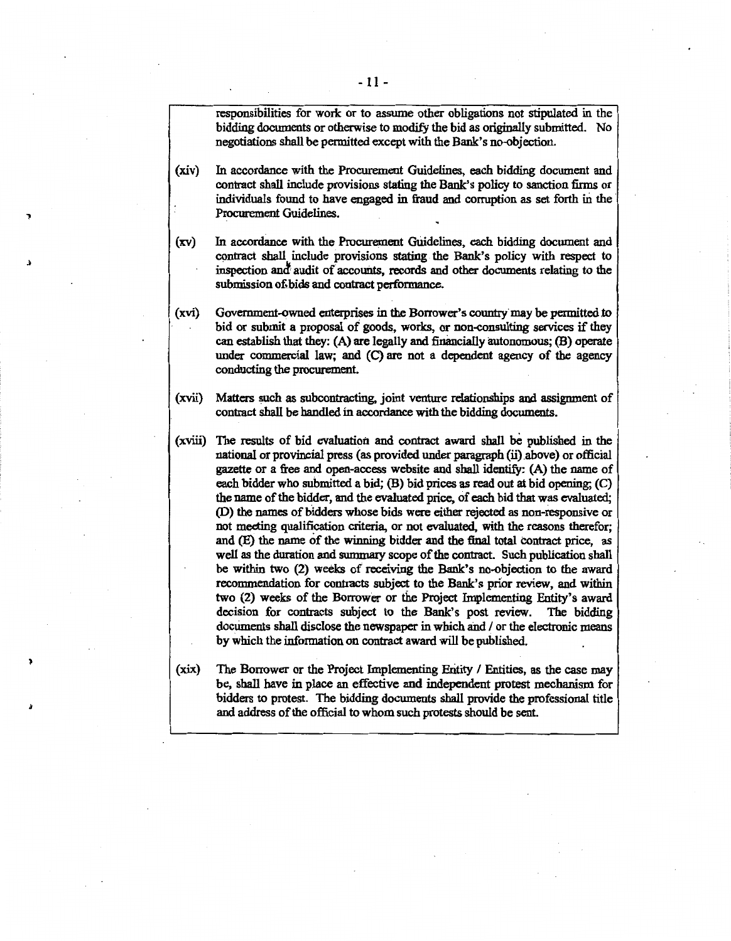responsibilities for work or to assume other obligations not stipulated in the bidding documents or otherwise to modify the bid as originally submitted. No negotiations shall be permitted except with the Bank's no-objection.

- (xiv) In accordance with the Procurement Guidelines, each bidding document and contract shall include provisions stating the Bank's policy to sanction firms or individuals found to have engaged in fraud and corruption as set forth in the Procurement Guidelines.
- (xv) In accordance with the Procurement GUidelines, each bidding document and contract shall include provisions stating the Bank's policy with respect to inspection and audit of accounts, records and other documents relating to the submission o£bids and contract performance.
- (xvi) Government-owned enterprises in the Borrower's country may be permitted to bid or submit a proposal of goods, works, or non-consulting services if they can establish that they: (A) are legally and financially autonomous; (B) operate under commercial law; and (C) are not a dependent agency of the agency conducting the procurement.
- (xvii) Matters such as subcontracting, joint venture relationships and assignment of contract shall be handled in accordance with the bidding documents.
- $(xviii)$  The results of bid evaluation and contract award shall be published in the national or provincial press (as provided under paragraph (ii) above) or official gazette or a free and open-access website and shall identifY: (A) the name of each bidder who submitted a bid; (B) bid prices as read out at bid opening; (C) the name of the bidder, and the evaluated price, of each bid that was evaluated; (D) the names of bidders whose bids were either rejected as non-responsive or not meeting qualification criteria, or not evaluated, with the reasons therefor; and (E) the name of the winning bidder and the final total Contract price, as well as the duration and summary scope of the contract. Such publication shall be within two (2) weeks of receiving the Bank's no-objection to the award recommendation for contracts subject to the Bank's prior review, and within two (2) weeks of the Borrower or the Project Implementing Entity's award decision for contracts subject to the Bank's post review. The bidding documents shall disclose the newspaper in which and / or the electronic means by which the information on contract award will be published.
- (xix) The Borrower or the Project Implementing Eritity I Entities, as the case may be, shall have in place an effective and independent protest mechanism for bidders to protest. The bidding documents shall provide the professional title and address of the official to whom such protests should be sent.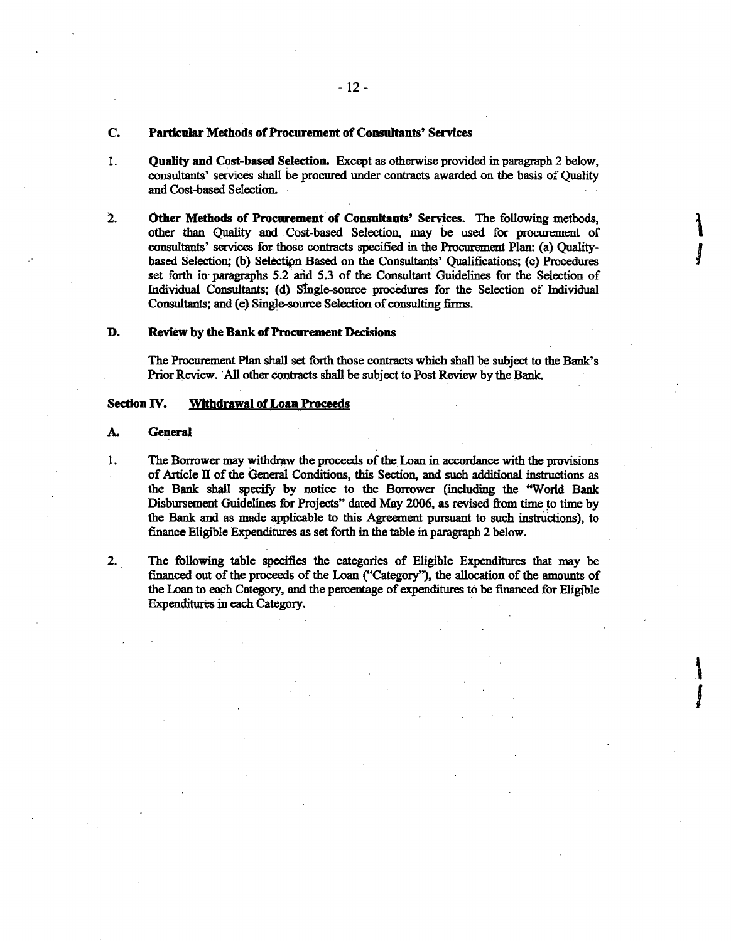## C. Particular Methods of Procurement of Coosultants' Services

- 1. Quatity and Cost-based Selection. Except as otherwise provided in paragraph 2 below, consultants' services shall be procured under contracts awarded on the basis of Quality and Cost-based Selection.
- 2. Other Methods of Procurement of Consultants' Services. The following methods, other than Quality and Cost-based Selection, may be used for procurement of consultants' services for those contracts specified in the Procurement Plan: (a) Qualitybased Selection; (b) Selectipn Based on the Consultants' Qualifications; (c) Procedures set forth in paragraphs  $5.2$  and  $5.3$  of the Consultant Guidelines for the Selection of Individual Consultants; (d): stngle-source procedures for the Selection of Individual Consultants; and (e) Single-source Selection of consulting firms.

 $\mathbf{r}$ 

I

.\

J

## D. Review by the Bank of Procurement Decisions

The Procurement Plan shall set forth those contracts which shall be subject to the Bank's Prior Review. 'All other contracts shall be subject to Post Review by the Bank.

## Section IV. Withdrawal of Loan Proceeds

## A. General

- 1. The Borrower may withdraw the proceeds of the Loan in accordance with the provisions of Article II of the General Conditions, this Section, and such additional instructions as the Bank shall specify by notice to the Borrower (including the "World Bank Disbursement Guidelines for Projects" dated May 2006, as revised from time to time by the Bank and as made applicable to this Agreement pursuant to such instructions), to finance Eligible Expenditures as set forth in the table in paragraph 2 below.
- 2. The following table specifies the categories of Eligible Expenditures that may be financed out of the proceeds of the Loan ("Category''), the allocation of the amounts of the Loan to each Category, and the percentage of expenditures to be financed for Eligible Expenditures in each Category.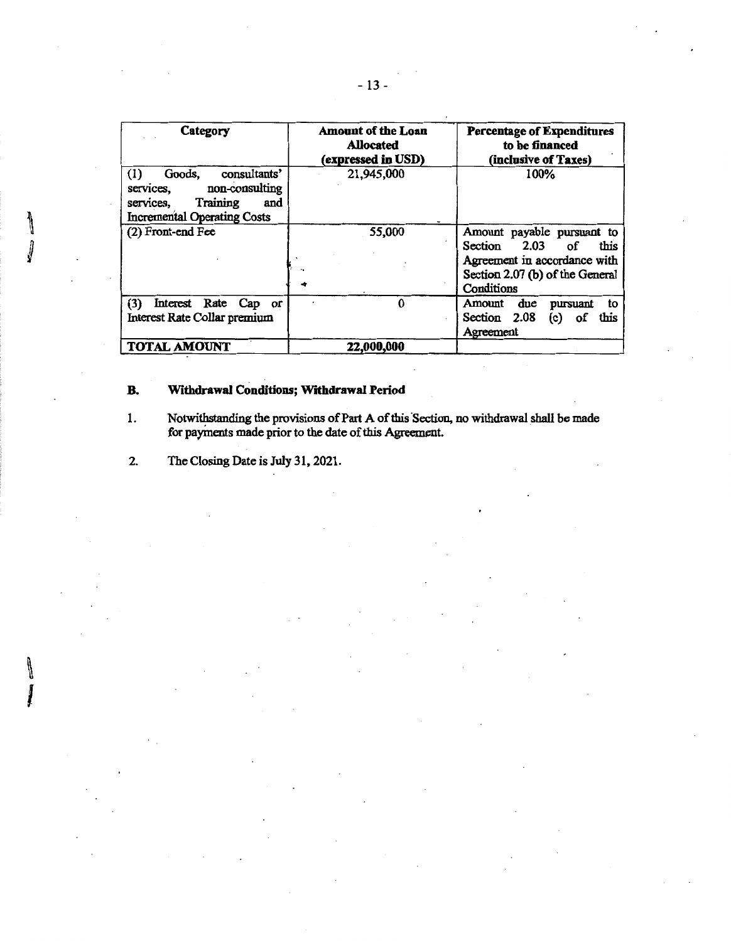| Category                                                                                                                           | <b>Amount of the Loan</b><br><b>Allocated</b><br>(expressed in USD) | <b>Percentage of Expenditures</b><br>to be financed<br>(inclusive of Taxes)                                                               |
|------------------------------------------------------------------------------------------------------------------------------------|---------------------------------------------------------------------|-------------------------------------------------------------------------------------------------------------------------------------------|
| consultants'<br>Goods,<br>(1)<br>non-consulting<br>services,<br>Training<br>services.<br>and<br><b>Incremental Operating Costs</b> | 21,945,000                                                          | 100%                                                                                                                                      |
| (2) Front-end Fee                                                                                                                  | 55,000                                                              | Amount payable pursuant to<br>Section 2.03<br>this<br>οf<br>Agreement in accordance with<br>Section 2.07 (b) of the General<br>Conditions |
| (3)<br>Interest Rate Cap or<br>Interest Rate Collar premium                                                                        | ი                                                                   | due<br>Amount<br>pursuant<br>to<br>Section 2.08<br>οf<br>this<br>(c)<br>Agreement                                                         |
| <b>TOTAL AMOUNT</b>                                                                                                                | 22,000,000                                                          |                                                                                                                                           |

## B. Withdrawal Conditions; Wrthdrawal Period

- 1. Notwithstanding the provisions of Part A of this Section, no withdrawal shall be made for payments made prior to the date of this Agreement.
- 2. The Closing Date is July 31, 2021.

╽

J

۱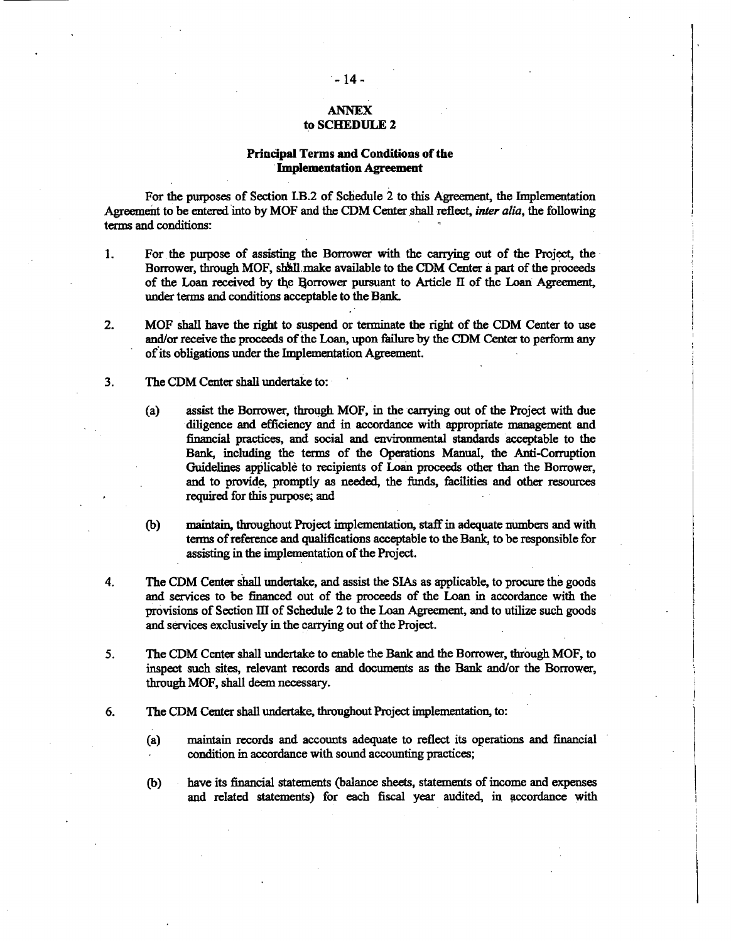## ANNEX to SCHEDULE 2

## Principal Terms and Conditions of the ·Implementation Agreement

For the pmposes of Section I.B.2 of Schedule 2 to this Agreement, the Implementation Agreement to be entered into by MOF and the CDM Center shall reflect, *inter alia*, the following terms and conditions:

- 1. For. the pmpose of assisting the Borrower with the carrying out of the Project, the · Borrower, through MOF, shall make available to the CDM Center a part of the proceeds of the Loan received by the Borrower pursuant to Article II of the Loan Agreement, under terms and conditions acceptable to the Bank.
- 2. MOF shall have the right to suspend or terminate the right of the CDM Center to use and/or receive the proceeds of the Loan, upon failure by the CDM Center to perform any of its obligations under the Implementation Agreement.
- 3. The CDM Center shall undertake to:
	- (a) assist the Borrower, through MOF, in the carrying out of the Project with due diligence and efficiency and in accordance with appropriate management and financial practices, and social and environmental standards acceptable to the Bank, including the terms of the Operations Manual, the Anti-Corruption Guidelines applicable to recipients of Loan proceeds other than the Borrower, and to provide, promptly as needed, the funds, facilities and other resources required for this purpose; and
	- (b) maintain, throughout Project implementation, staff in adequate numbers and with terms of reference and qualifications acceptable to the Bank, to be responsible for assisting in the implementation of the Project.
- 4. The COM Center shall undertake, and assist the SIAs as applicable, to procure the goods and services to be financed out of the proceeds of the Loan in accordance with the provisions of Section III of Schedule 2 to the Loan Agreement, and to utilize such goods and services exclusively in the carrying out of the Project.
- 5. The CDM Center shall undertake to enable the Bank and the Borrower, through MOF, to inspect such sites, relevant records and documents as the Bank and/or the Borrower, through MOF, shall deem necessary.
- 6. The COM Center shall undertake, throughout Project implementation, to:
	- (a) maintain records and accounts adequate to reflect its operations and financial condition in accordance with sound accounting practices;
	- (b) have its financial statements (balance sheets, statements of income and expenses and related statements) for each fiscal year audited, in accordance with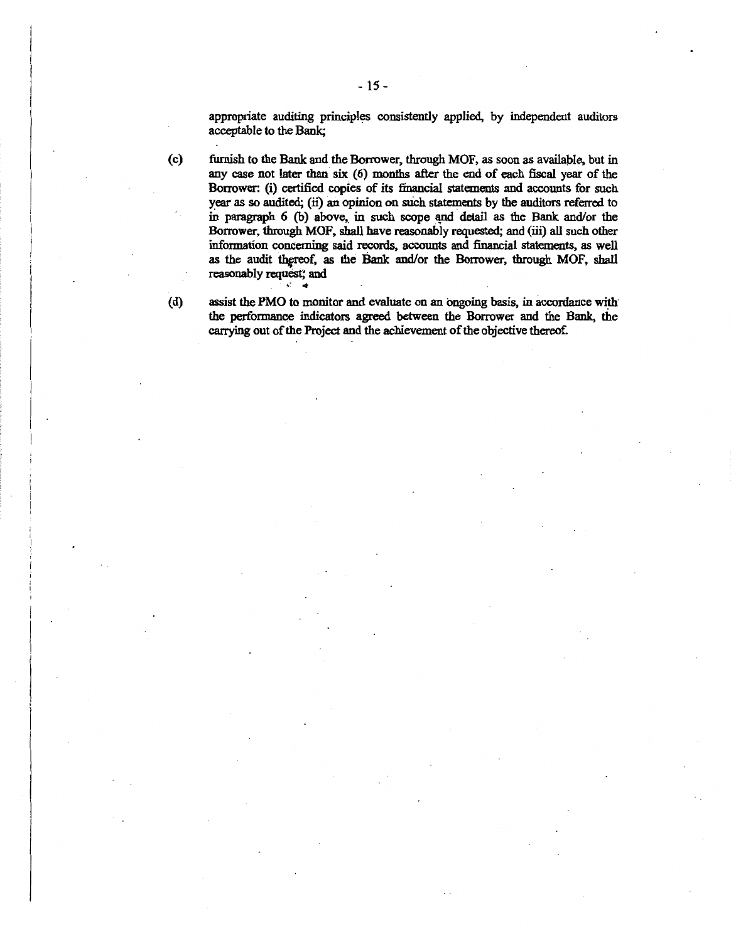appropriate auditing principles consistently applied, by independent auditors acceptable to the Bank;

(c) furnish to the Bank and the Borrower, through MOF, as soon as available, but in any case not later than six (6) months after the end of each fiscal year of the Borrower: (i) certified copies of its financial statements and accounts for such year as so audited; (ii) an opinion on such statements by the auditors referred to in paragraph  $6$  (b) above, in such scope and detail as the Bank and/or the Borrower, through MOF, shall have reasonably requested; and (iii) all such other information concerning said records, accounts and financial statements, as well as the audit thereof, as the Bank and/or the Borrower, through MOF, shall reasonably request; and

(d) assist the PMO to monitor and evaluate on an ongoing basis, in accordance with· the performance indicators agreed between the Borrower and the Bank, the carrying out of the Project and the achievement of the objective thereof.

- 15-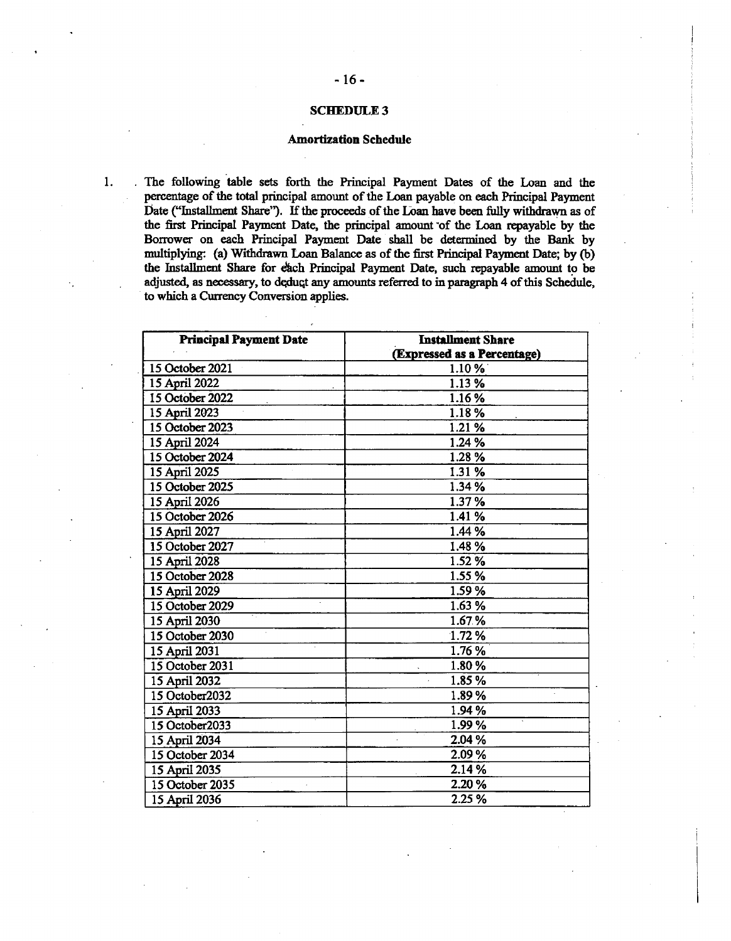#### **SCHEDULE 3**

<sup>~</sup>16 <sup>~</sup>

## Amortization Schedule

1. . The following table sets forth the Principal Payment Dates of the Loan and the percentage of the total principal amount of the Loan payable on each Principal Payment Oate ("Installment Share''). If the proceeds of the LOan have been fully withdrawn as of the first Principal Payment Date, the principal amount of the Loan repayable by the Borrower on each Principal Payment Date shall be determined by the Bank by multiplying: (a) Withdrawn Loan Balance as of the first Principal Payment Date; by (b) the Installment Share for each Principal Payment Date, such repayable amount to be adjusted, as necessary, to deduct any amounts referred to in paragraph 4 of this Schedule, to which a Currency Conversion applies.

| <b>Principal Payment Date</b> | <b>Installment Share</b>    |
|-------------------------------|-----------------------------|
|                               | (Expressed as a Percentage) |
| 15 October 2021               | 1.10%                       |
| 15 April 2022                 | 1.13 %                      |
| 15 October 2022               | 1.16%                       |
| 15 April 2023                 | 1.18%                       |
| 15 October 2023               | 1.21 %                      |
| 15 April 2024                 | 1.24 %                      |
| 15 October 2024               | 1.28 %                      |
| 15 April 2025                 | 1.31 %                      |
| 15 October 2025               | 1.34 %                      |
| 15 April 2026                 | 1.37%                       |
| 15 October 2026               | 1.41 %                      |
| 15 April 2027                 | 1.44 %                      |
| 15 October 2027               | 1.48%                       |
| 15 April 2028                 | 1.52 %                      |
| 15 October 2028               | 1.55%                       |
| 15 April 2029                 | 1.59%                       |
| 15 October 2029               | 1.63 %                      |
| 15 April 2030                 | 1.67%                       |
| 15 October 2030               | 1.72%                       |
| 15 April 2031                 | 1.76 %                      |
| 15 October 2031               | 1.80%                       |
| 15 April 2032                 | 1.85%                       |
| 15 October2032                | 1.89%                       |
| 15 April 2033                 | 1.94 %                      |
| 15 October2033                | 1.99%                       |
| 15 April 2034                 | 2.04 %                      |
| 15 October 2034               | 2.09%                       |
| 15 April 2035                 | 2.14 %                      |
| 15 October 2035               | 2.20 %                      |
| 15 April 2036                 | 2.25 %                      |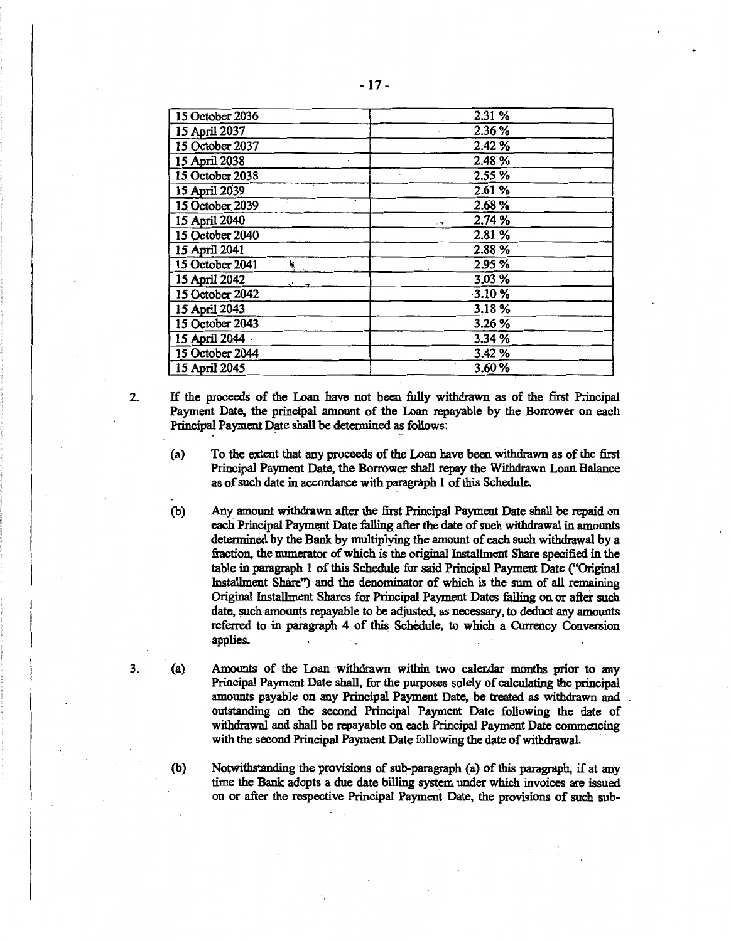| 15 October 2036       | 2.31 %        |
|-----------------------|---------------|
| 15 April 2037         | 2.36 %        |
| 15 October 2037       | 2.42%         |
| 15 April 2038         | 2.48%         |
| 15 October 2038       | 2.55 %        |
| 15 April 2039         | 2.61 %        |
| 15 October 2039       | 2.68 %        |
| 15 April 2040         | 2.74 %<br>. н |
| 15 October 2040       | 2.81 %        |
| 15 April 2041         | 2.88%         |
| 15 October 2041<br>N, | 2.95 %        |
| 15 April 2042         | 3.03 %        |
| 15 October 2042       | 3.10%         |
| 15 April 2043         | 3.18%         |
| 15 October 2043       | 3.26 %        |
| 15 April 2044         | 3.34 %        |
| 15 October 2044       | 3.42 %        |
| 15 April 2045         | 3.60%         |

2. If the proceeds of the Loan have not been fully withdrawn as of the first Principal Payment Date, the principal amount of the Loan repayable by the Borrower on each Principal Payment Date shall be detennined as follows:

(a) To the extent that any proceeds of the Loan have been withdrawn as of the first Principal Payment Date, the Borrower shall repay the Withdrawn Loan Balance as of such date in accordance with paragraph 1 of this Schedule.

- (b) Any amount withdrawn after the first Principal Payment Date shall be repaid on each Principal Payment Date falling after the date of sueh withdrawal in amounts determined by the Bank by multiplying the amount of each such withdrawal by a fraction, the numerator of which is the original Installment Share specified in the table in paragraph I of this Schedule for said Principal Payment Date ("Original Installment Share") and the denominator of which is the sum of all remaining Original Installment Shares for Principal Payment Dates falling on or after such date, such amounts repayable to be adjusted, as necessary, to deduct any amounts referred to in paragraph 4 of this Schedule, to which a Currency Conversion applies.
- (a) Amounts of the Loan withdrawn within two calendar months prior to any Principal Payment Date shall, for the purposes solely of calculating the principal amounts payable on any Principal· Payment Date, be treated as withdrawn and outstanding on the second Principal Payment Date following the date of withdrawal and shall be repayable on each Principal Payment Date commencing with the second Principal Payment Date following the date of withdrawal.

(b) Notwithstanding the provisions of sub-paragraph (a) of this paragraph, if at any time the Bank adopts a due date billing system under which invoices are issued on or after the respective Principal Payment Date, the provisions of such sub-

3.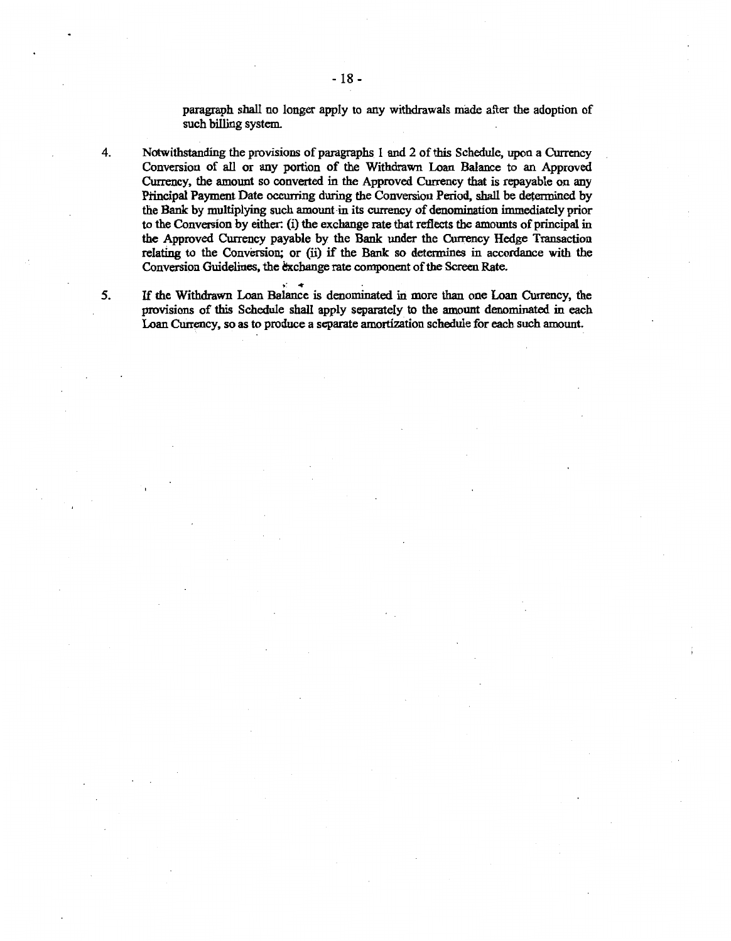paragraph shall no longer apply to any withdrawals made after the adoption of such billing system.

4. Notwithstanding the provisions of paragraphs 1 and 2 of this Schedule, upon a Currency Conversion of all or any portion of the Withdrawn Loan Balance to an Approved Currency, the amount so converted in the Approved Currency that is repayable on any Principal Payment Date occurring during the Conversion Period, shall be determined by the Bank by multiplying such amount in its currency of denomination immediately prior to the Conversion by either: (i) the exchange rate that reflects the amounts of principal in the Approved Currency payable by the Bank under the Currency Hedge Transaction relating to the Conversion; or (ii) if the Bank so determines in accordance with the Conversion Guidelines, the exchange rate component of the Screen Rate.

5. If the Withdrawn Loan Balance is denominated in more than one Loan Currency, the provisions of this Schedule shall apply separately to the amount denominated in each Loan Currency, so as to produce a separate amortization schedule for each such amount.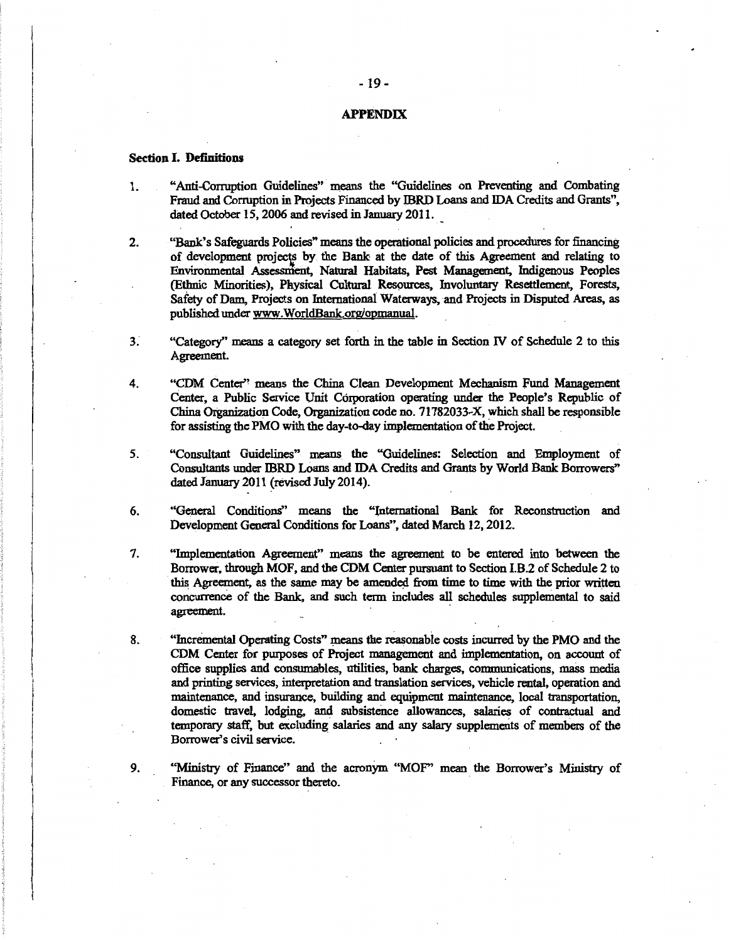#### APPENDIX

## Section I. Definitions

- 1. "Anti-Corruption Guidelines" means the "Guidelines on Preventing and Combating Fraud and Corruption in Projects Financed by IBRD Loans and IDA Credits and Grants", dated October 15, 2006 and revised in January 2011.
- 2. "Bank's Safeguards Policies" means the operational policies and procedures for financing of development projects by the Bank at the date of this Agreement and relating to Envrronmental Assessment, Natural Habitats, Pest Management, Indigenous Peoples (Ethnic Minorities), Physical Cultural Re59urces, Involuntary Resettlement, Forests, Safety of Dam, Projects on International Waterways, and Projects in Disputed Areas, as published under www.WorldBank.org/opmanual.
- 3 ~ "Category'' means a category set forth in the table in Section IV of Schedule 2 to this Agreement.
- 4. "CDM Center'' means the China Clean Development Mechanism fund Management Center, a Public Service Unit Corporation operating under the People's Republic of China Organization Code, Organization code no. 71782033-X, which shall be responsible for assisting the PMO with the day-to-day implementation of the Project.
- *5.* "Consultant Guidelines" means the "Guidelines: Selection and Employment of Consultants under IBRD Loans and IDA Credits and Grants by World Bank Borrowers" dated January 2011 (revised July 2014).
- 6. "General Conditions" means the "lnternational Bank for Reconstruction and Development General Conditions for Loans", dated March 12, 2012.
- 7. "Implementation Agreement" means the agreement to be entered into between the Borrower, through MOF, and the CDM Center pursuant to Section I.B.2 of Schedule 2 to this Agreement, as the same may be amended from time to time with the prior written concurrence of the Bank, and such term includes all schedules supplemental to said agreement.
- 8. "Incremental Operating Costs" means the reasonable costs incurred by the PMO and the CDM Center for pwposes of Project management and implementation, on account of office supplies and consumables, utilities, bank charges, communications, mass media and printing services, interpretation and translation services, vehicle rental, operation and maintenance, and insurance, building and equipment maintenance, local transportation, domestic travel, lodging, and subsistence allowances, salaries of contractual and temporary staff, but excluding salaries and any salary supplements of members of the Borrower's civil service.

9. "Ministry of Finance" and the acronym "MOF" mean the Borrower's Ministry of Finance, or any successor thereto.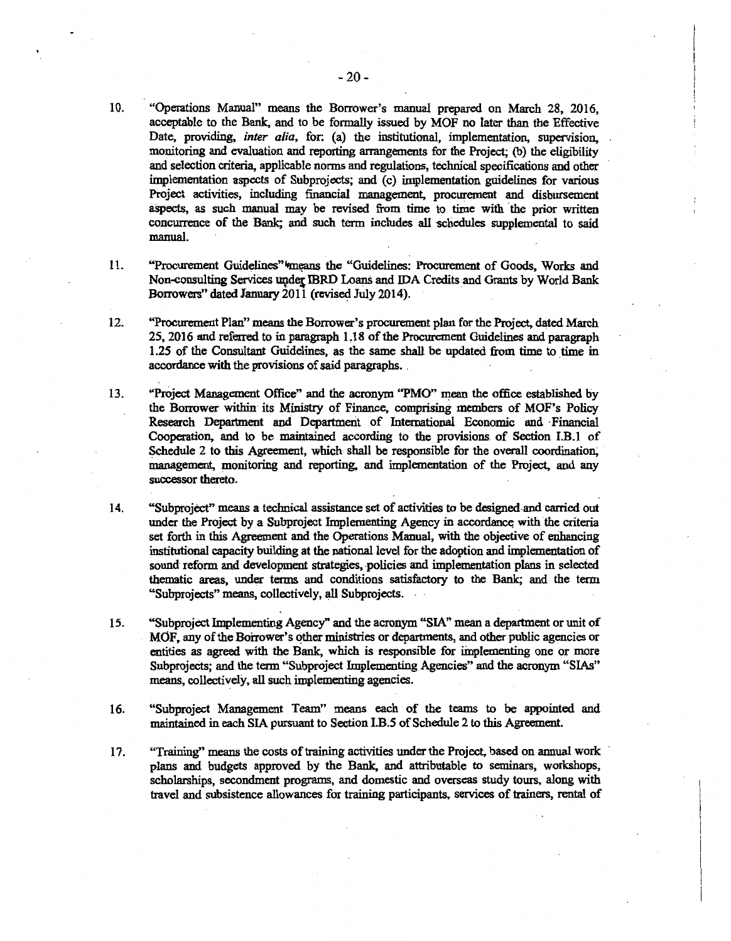- 10. "Operations Manual" means the Borrower's manual prepared on March 28, 2016, acceptable to the Bank, and to be formally issued by MOF no later than the Effective Date, providing, *inter alia,* for: (a) the institutional, implementation, supervision, monitoring and evaluation and reporting arrangements for the Project; (b) the eligibility and selection criteria, applicable norms and regulations, technical specifications and other implementation aspects of Subprojects; and (c) implementation guidelines for various Project activities, including financial management, procurement and disbursement aspects, as such manual may be revised from time to time with the prior written concurrence of the Bank; and such term includes all schedules supplemental to said manual.
- 11. "Procurement Guidelines" "means the "Guidelines: Procurement of Goods, Works and Non-consulting Services under IBRD Loans and IDA Credits and Grants by World Bank Borrowers" dated January 2011 (revised July 2014).
- 12. "Procurement Plan" means the Borrower's procurement plan for the Project, dated March 25, 2016 and referred to in paragraph LIS of the Procurement Guidelines and paragraph 1.25 of the Consultant Guidelines, as the same shall be updated from time to time in accordance with the provisions of said paragraphs.
- 13. ''Project Management Office" and the acronym "PMO" mean the office established by the Borrower within its Ministry of Finance, comprising members of MOF's Policy Research Department and Department of International Economic and Financial Cooperation, and to be maintained according to the provisions of Section I.B.l of Schedule 2 to this Agreement, which shall be responsible for the overall coordination, management, monitoring and reporting, and implementation of the Project, and any successor thereto.
- 14. "Subproject" means a technical assistance set of activities to be designed-and carried out under the Project by a Subproject Implementing Agency in accordance with the criteria set forth in this Agreement and the Operations Manual, with the objective of erihancing institutional capacity building at the national level for the adoption and implementation of sound reform and development strategies, policies and implementation plans in selected thematic areas, under terms and conditions satisfactory to the Bank; and the term "Subprojects" means, collectively, all Subprojects. .
- 15. "Subproject Implementing Agency" and the acronym "SIA'' mean a department or unit of MOF, any of the Borrower's other ministries or departments, and other public agencies or entities as agreed with the Bank, which is responsible for iinplementing one or more Subprojects; and the term "Subproject Implementing Agencies" and the acronym "SIAs" means, collectively, all such implementing agencies.
- 16. "Subproject Management Team" means each of the teams to be appointed and maintained in each SIA pursuant to Section I.B.S of Schedule 2 to this Agreement.
- 17. "Training'' means the costs of training activities under the Project, based on annual work plans and budgets approved by the Bank, and attributable to seminars, workshops, scholarships, secondment programs, and domestic and overseas study tours, along with travel and subsistence allowances for training participants, services of trainers, rental of